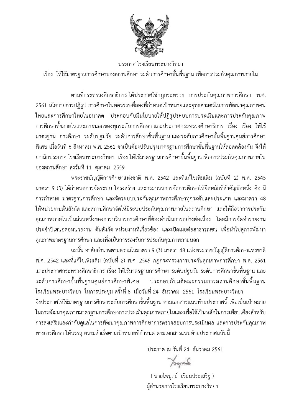

ประกาศ โรงเรียนพระบางวิทยา

เรื่อง ให้ใช้มาตรฐานการศึกษาของสถานศึกษา ระดับการศึกษาขั้นพื้นฐาน เพื่อการประกันคุณภาพภายใน

ิตามที่กระทรวงศึกษาธิการ ได้ประกาศใช้กฎกระทรวง การประกันคุณภาพการศึกษา พ.ศ. ่ 2561 นโยบายการปฏิรูป การศึกษาในทศวรรษที่สองที่กำหนดเป้าหมายและยทธศาสตร์ในการพัฒนาคณภาพคน ไทยและการศึกษาไทยในอนาคต ประกอบกับมีนโยบายให้ปฏิรูประบบการประเมินและการประกันคุณภาพ ิ การศึกษาทั้งภายในและภายนอกของทุกระดับการศึกษา และประกาศกระทรวงศึกษาธิการ เรื่อง เรื่อง ให้ใช้ ้มาตรฐาน การศึกษา ระดับปฐมวัย ระดับการศึกษาขั้นพื้นฐาน…และระดับการศึกษาขั้นพื้นฐานศูนย์การศึกษา ้ พิเศษ เมื่อวันที่ 6 สิงหาคม พ.ศ. 2561 จาเป็นต้องปรับปรุงมาตรฐานการศึกษาขั้นพื้นฐานให้สอดคล้องกัน จึงให้ ียกเลิกประกาศ โรงเรียนพระบางวิทยา เรื่อง ให้ใช้มาตรฐานการศึกษาขั้นพื้นฐานเพื่อการประกันคุณภาพภายใน ของสถานศึกษา ลงวันที่ 11 ตุลาคม 2559

พระราชบัญญัติการศึกษาแห่งชาติ พ.ศ. 2542 และที่แก้ไขเพิ่มเติม (ฉบับที่ 2) พ.ศ. 2545 ้มาตรา 9 (3) ได้กำหนดการจัดระบบ โครงสร้าง และกระบวนการจัดการศึกษาให้ยึดหลักที่สำคัญข้อหนึ่ง คือ มี การกำหนด มาตรฐานการศึกษา และจัดระบบประกันคุณภาพการศึกษาทุกระดับและประเภท และมาตรา 48 ให้หน่วยงานต้นสังกัด และสถานศึกษาจัดให้มีระบบประกันคุณภาพภายในสถานศึกษา และให้ถือว่าการประกัน ้คณภาพภายในเป็นส่วนหนึ่งของการบริหารการศึกษาที่ต้องดำเนินการอย่างต่อเนื่อง โดยมีการจัดทำรายงาน ี ประจำปีเสนอต่อหน่วยงาน ต้นสังกัด หน่วยงานที่เกี่ยวข้อง และเปิดเผยต่อสาธารณชน เพื่อนำไปสู่การพัฒนา คุณภาพมาตรฐานการศึกษา และเพื่อเป็นการรองรับการประกันคุณภาพภายนอก

้ฉะนั้น อาศัยอำนาจตามความในมาตรา 9 (3) มาตรา 48 แห่งพระราชบัญญัติการศึกษาแห่งชาติ ี พ.ศ. 2542 และที่แก้ไขเพิ่มเติม (ฉบับที่ 2) พ.ศ. 2545 กฎกระทรวงการประกันคุณภาพการศึกษา พ.ศ. 2561 ์ และประกาศกระทรวงศึกษาธิการ เรื่อง ให้ใช้มาตรฐานการศึกษา ระดับปฐมวัย ระดับการศึกษาขั้นพื้นฐาน และ ระดับการศึกษาขั้นพื้นฐานศูนย์การศึกษาพิเศษ <sup>่</sup> ประกอบกับมติคณะกรรมการสถานศึกษาขั้นพื้นฐาน

โรงเรียนพระบางวิทยา ในการประชุม ครั้งที่ 8 เมื่อวันที่ 24 ธันวาคม 2561 โรงเรียนพระบางวิทยา ้จึงประกาศให้ใช้มาตรฐานการศึกษาระดับการศึกษาขั้นพื้นฐาน ตามเอกสารแนบท้ายประกาศนี้ เพื่อเป็นเป้าหมาย ในการพัฒนาคุณภาพมาตรฐานการศึกษาการประเมินคุณภาพภายในและเพื่อใช้เป็นหลักในการเทียบเคียงสำหรับ การส่งเสริมและกำกับดูแลในการพัฒนาคุณภาพการศึกษาการตรวจสอบการประเมินผล และการประกันคุณภาพ ิทางการศึกษา ให้บรรลุ ความสำเร็จตามเป้าหมายที่กำหนด ตามเอกสารแนบท้ายประกาศฉบับนี้

<u> ประกาศ ณ วันที่ 24 ธันวาคม 2561</u>

 $\gamma$ rayné

( นายไพบูลย์ เขียนประเสริฐ ) ผู้อำนวยการโรงเรียนพระบางวิทยา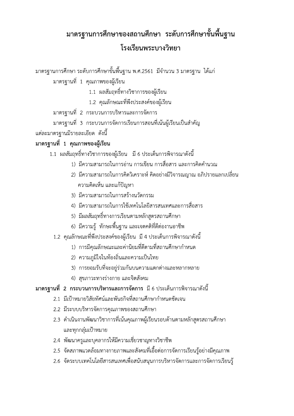# ิมาตรฐานการศึกษาของสถานศึกษา ระดับการศึกษาขั้นพื้นฐาน โรงเรียบพระบางวิทยา

ี มาตรฐานการศึกษา ระดับการศึกษาขั้นพื้นฐาน พ.ศ.2561 มีจำนวน 3 มาตรฐาน ได้แก่

มาตรฐานที่ 1 คุณภาพของผู้เรียน

- 1.1 ผลสัมฤทธิ์ทางวิชาการของผู้เรียน
- 1.2 คุณลักษณะที่พึงประสงค์ของผู้เรียน

มาตรฐานที่ 2 กระบวนการบริหารและการจัดการ

มาตรฐานที่ 3 กระบวนการจัดการเรียนการสอนที่เน้นผู้เรียนเป็นสำคัญ

แต่ละมาตรฐานมีรายละเอียด ดังนี้

## มาตรฐานที่ 1 คุณภาพของผู้เรียน

- 1.1 ผลสัมฤทธิ์ทางวิชาการของผู้เรียน มี 6 ประเด็นการพิจารณาดังนี้
	- 1) มีความสามารถในการอ่าน การเขียน การสื่อสาร และการคิดคำนวณ
	- 2) มีความสามารถในการคิดวิเคราะห์ คิดอย่างมีวิจารณญาณ อภิปรายแลกเปลี่ยน ้ความคิดเห็น และแก้ปัญหา
	- 3) มีความสามารถในการสร้างนวัตกรรม
	- 4) มีความสามารถในการใช้เทคโนโลยีสารสนเทศและการสื่อสาร
	- 5) มีผลสัมฤทธิ์ทางการเรียนตามหลักสูตรสถานศึกษา
	- 6) มีความรู้ ทักษะพื้นฐาน และเจตคติที่ดีต่องานอาชีพ
	- 1.2 คุณลักษณะที่พึงประสงค์ของผู้เรียน มี 4 ประเด็นการพิจารณาดังนี้
		- 1) การมีคุณลักษณะและค่านิยมที่ดีตามที่สถานศึกษากำหนด
		- 2) ความภูมิใจในท้องถิ่นและความเป็นไทย
		- 3) การยอมรับที่จะอยู่ร่วมกันบนความแตกต่างและหลากหลาย
		- 4) สุขภาวะทางร่างกาย และจิตสังคม

# มาตรฐานที่ 2 กระบวนการบริหารและการจัดการ มี 6 ประเด็นการพิจารณาดังนี้

- 2.1 มีเป้าหมายวิสัยทัศน์และพันธกิจที่สถานศึกษากำหนดชัดเจน
- 2.2 มีระบบบริหารจัดการคุณภาพของสถานศึกษา
- 2.3 ดำเนินงานพัฒนาวิชาการที่เน้นคุณภาพผู้เรียนรอบด้านตามหลักสูตรสถานศึกษา และทุกกลุ่มเป้าหมาย
- 2.4 พัฒนาครูและบุคลากรให้มีความเชี่ยวชาญทางวิชาชีพ
- 2.5 จัดสภาพแวดล้อมทางกายภาพและสังคมที่เอื้อต่อการจัดการเรียนรู้อย่างมีคุณภาพ
- 2.6 จัดระบบเทคโนโลยีสารสนเทศเพื่อสนับสนุนการบริหารจัดการและการจัดการเรียนรู้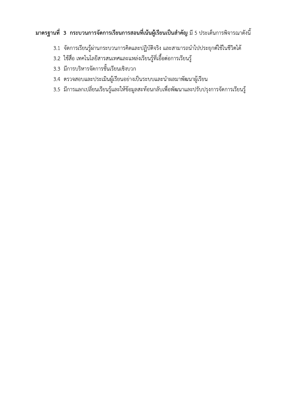# มาตรฐานที่ 3 กระบวนการจัดการเรียนการสอนที่เน้นผู้เรียนเป็นสำคัญ มี 5 ประเด็นการพิจารณาดังนี้

- 3.1 จัดการเรียนรู้ผ่านกระบวนการคิดและปฏิบัติจริง และสามารถนำไปประยุกต์ใช้ในชีวิตได้
- 3.2 ใช้สื่อ เทคโนโลยีสารสนเทศและแหล่งเรียนรู้ที่เอื้อต่อการเรียนรู้
- 3.3 มีการบริหารจัดการชั้นเรียนเชิงบวก
- 3.4 ตรวจสอบและประเมินผู้เรียนอย่างเป็นระบบและนำผลมาพัฒนาผู้เรียน
- 3.5 มีการแลกเปลี่ยนเรียนรู้และให้ข้อมูลสะท้อนกลับเพื่อพัฒนาและปรับปรุงการจัดการเรียนรู้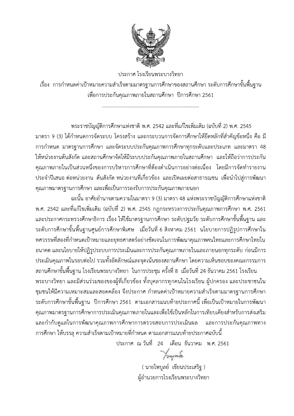

ประกาศ โรงเรียนพระบางวิทยา เรื่อง การกำหนดค่าเป้าหมายความสำเร็จ<br>-พื่อการประกันคุณภาพภายในสถานศึกษา ปิการศึกษา 2561

1111111111111111111111111111111111111111111111111111111111111111111111111111

 $\begin{picture}(160,100) \put(0,0){\line(0,1){13.5}} \put(0,0){\line(0,1){13.5}} \put(0,0){\line(0,1){13.5}} \put(0,0){\line(0,1){13.5}} \put(0,0){\line(0,1){13.5}} \put(0,0){\line(0,1){13.5}} \put(0,0){\line(0,1){13.5}} \put(0,0){\line(0,1){13.5}} \put(0,0){\line(0,1){13.5}} \put(0,0){\line(0,1){13.5}} \put(0,0){\line(0,1){13$ พระราชบัญญัติการศึกษาแห่งชาติ พ.ศ. 2542 และที่แก้ไขเพิ่มเติม (ฉบับที่ 2) พ.ศ. 2545 ิมาตรา 9 (3) ได้กำหนดการจัดระบบ โครงสร้าง และกระบวนการจัดการศึกษาให้ยึดหลักที่สำคัญข้อหนึ่ง คือ มี การกำหนด มาตรฐานการศึกษา และจัดระบบประกันคุณภาพการศึกษาทุกระดับและประเภท และมาตรา 48 ให้หน่วยงานต้นสังกัด และสถานศึกษาจัดให้มีระบบประกันคุณภาพภายในสถานศึกษา และให้ถือว่าการประกัน คุณภาพภายในเป็นส่วนหนิงของการบริหารการศึกษาที่ต้องดำเนินการอย่างต่อเนื่อง โดยมีการจัดทำรายงาน<br>---, 
 
 :
& &
 \$: 49 -C D E)2 ;-F&G ()\* !
"#49 -B
 &-

พระราชบัญญัติการศึกษาแห่งชาติ พ.ศ. 2542 และที่แก้ไขเพิ่มเติม (ฉบับที่ 2) พ.ศ. 2545<br>มาตรา 9 (3) ได้กำหนดการจัดระบบ โครงสร้าง และกระบวนการจัดการศึกษาให้ยัดหลักที่สำคัญชัยหนึ่ง คือ มี<br>การกำหนด มาตรฐานการศึกษา และจัดระบบประกั พิมเติม (ฉบับที่ 2) พ.ศ. 2545 กฎกระทรวงการประกันคุณภาพการศึกษา พ.ศ. 2561 และประกาศกระทรวงศึกษาธิการ เรื่อง ให้ใช้มาตรฐานการศึกษา ระดับปฐม<br>-การกำพนต มาตรฐานการศึกษา และจัดระบบประกันคุณภาพการศึกษาทุกระดับและประเภท และมาตรา 48<br>ให้หน่วยงานต้นสังกัด และสถานศึกษาจัดให้มีระบบประกันคุณภาพการในสถานศึกษา และไพ้ถือว่าการประกัน<br>คุณภาพภายในเป็นส่วนหนึ่งรอดารางวิทรรการศึก ศษ เมิอวันทิ 6 สิงหาคม 2561 นโยบายการปฏิรูปการศึกษาใน ทศวรรษทิสองทิกำหนดเป้าหมายและยุทธศาสตร์อย่างชัดเจนในการพัฒนาคุณภาพคนไทยและการศึกษาไทยใน<br>-อนาคต และนโยบายให้ปฏิรูประบบการประเมินและการประกันคุณภาพภายในและภายนอกทุกระดับ ก่อนมิการ ประเมินคุณภาพในรอบต่อไป รวมทั้งอัตลักษณ์และจุดเน้นของสถานศึกษา โดยความเห็น<br>-คุณภาพมาตรฐานการศึกษา และเพื่อเป็นการรองรับการประกันคุณภาพภาะ<br>พ.ศ. 2542 และที่แก้ไขเพิ่มเติม (ฉบับที่ 2) พ.ศ. 2545 กฎกระทรวงการ<br>และประกาศกระทรวงศึกษาธิการ เรื่อง ให้ใช้มาตรฐานการศึกษา ระดับปุ<br>ระดับการศึกษาขั้นพื้นฐานศูนย์ ฉะนั้น อกคัยอำนาจตามกันการการ (3) มาตรา 48 แห่งพระราชนักผู้หักการ 48 แห่งพระราชนัก<br>1988 - 2542 และที่แก้ไขเพิ่มเติม (สบับที่ 2) พ.ศ. 2545 กฎกระทรวงการประกันคุณภาพการศึกษา พ.ศ. 2561<br>และประกาศกระทรวงศึกษาธิการ เรื่อง ให้ไข้ าศัยอำนาจตามความในมาตรา 9 (3) มาตรา 48 แห่งพระราชบัญญัติการศึกษ<br>าศัยอำนาจตามความในมาตรา 9 (3) มาตรา 48 แห่งพระราชบัญญัติการศึกษา<br>พาธิการ เรื่อง ให้ใช้มาตรฐานการศึกษา ระดับปฐมวัย ระดับการศึกษาขั้นพื้น<br>มศูนย์การศึกษาพิเศ

รียนพระบางวิทยา ไนการประชุม ครั้งที่ 8 เมื่อวันที่ 24 ธันวาคม 2561 โรงเรียน พระบางวิทยา และมิส่วนร่วมของของผู้ที่เกี่ยวข้อง ทั้งบุคลากรทุกคนในโรงเรียน ผู้ปกครอง และประชาชนใน ะที่แก้ไขเพิ่มเติม (ฉบับที่ 2) พ.ศ. 2545 กฎกระทรวงการประกันคุณภาพกา<br>ะทรวงศึกษาธิการ เรื่อง ให้ใช้มาตรฐานการศึกษา ระดับปฐมวัย ระดับการศึก<br>ขั้นพื้นฐานศูนย์การศึกษาพิเศษ เมื่อวันที่ 6 สิงหาคม 2561 นโยบายการ<br>ทำหนดเป้าหมายแ ชุมชนให้มิความเหมาะสมและสอดคล้อง จิ้งประกาศ ก้าหนดค่าเป้าหมายความสำเร็จ<br>-ระดับการศึกษาขั้นพื้นฐานศูนย์การศึกษาพิเศษ เมื่อวันที่ 6 สิงหาคม 2561 นโยบายการปฏิรูปการศึกษาใน<br>พควรรษที่สองที่กำหนดเป้าหมายและยุทธศาลตร์อย่างขัดเจนในการพัฒนาคุณภาพคนไทยและการสักษาไทยใน<br>อนาคต และนโยบายให้ปฏิรูประบบการประเ การศึกษา 2561 ตามเอกสารแนบท้ายประกาศนี้ เพื่อเป็นเป้าหมายในการพัฒนา เพิเศษ เมื่อวันที่ 6 สิงหาคม 2561 นโยบายการปฏิรูปการศึกษาใน<br>รศาสตร์อย่างชัดเจนในการพัฒนาคุณภาพคนไทยและการศึกษาไทยใน<br>ระเมินและกุกรประกันคุณภาพภายในและภายนอกทุกระดับ ก่อนมีการ<br>กษณ์และจุดเน้นของสถานศึกษา โดยความเห็นชอบของคณะ คุณภาพมาตรฐานการศึกษาการประเมินคุณภาพภายในและเพื่อใช้เป็นหลักในการเทียบเคียงสำหรับการส่งเสริม<br>-และกำกับดูแลไนการพัฒนาคุณภาพการศึกษาการตรวจสอบการประเมิน มินผล และการประกันคุณภาพทาง การศึกษา ให้บรรลุ ความสำเร็จตามเป้าหมายทิก้าหนด ตามเอกสารแนบท้ายประ<br>-ดเน้นของสถานศึกษา โดยความเห็นชอบของคณะกรรมการ<br>รประชุม ครั้งที่ 8 เมื่อวันที่ 24 ธันวาคม 2561 โรงเรียน<br>ทั้งบุคลากรทุกคนในโรงเรียน ผู้ปกครอง และประชาชนใน<br>ศ กำหนดค่าเป้าหมายความสำเร็จตามมาตรฐานการศึกษา<br>แอกสารแนบท้ายประกาศนี้

 $\frac{1}{2}$ ระกาศ ณ วันที่ 24 เดือน ธันวาคม พ.ศ. 2561

> ( นายไพบูลย์ เขียนประเสริฐ ) ผู้อำนวยการโรงเรียนพระบางวิทยา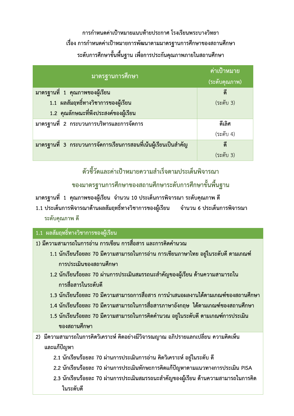้การกำหนดค่าเป้าหมายแนบท้ายประกาศ โรงเรียนพระบางวิทยา เรื่อง การกำหนดค่าเป้าหมายการพัฒนาตามมาตรฐานการศึกษาของสถานศึกษา ระดับการศึกษาขั้นพื้นฐาน เพื่อการประกันคุณภาพภายในสถานศึกษา

| มาตรฐานการศึกษา                                                  | ้ค่าเป้าหมาย<br>(ระดับคุณภาพ) |
|------------------------------------------------------------------|-------------------------------|
| ้มาตรฐานที่ 1 คุณภาพของผู้เรียน                                  | ดี                            |
| 1.1 ผลสัมฤทธิ์ทางวิชาการของผู้เรียน                              | (ระดับ 3)                     |
| 1.2 คุณลักษณะที่พึงประสงค์ของผู้เรียน                            |                               |
| ิมาตรฐานที่ 2 กระบวนการบริหารและการจัดการ                        | ดีเลิศ                        |
|                                                                  | (ระดับ 4)                     |
| ิมาตรฐานที่ 3 กระบวนการจัดการเรียนการสอนที่เน้นผู้เรียนเป็นสำคัญ | ดี                            |
|                                                                  | (ระดับ 3)                     |

ตัวชี้วัดและค่าเป้าหมายความสำเร็จตามประเด็นพิจารณา

ของมาตรฐานการศึกษาของสถานศึกษาระดับการศึกษาขั้นพื้นฐาน

ิมาตรฐานที่ 1 คุณภาพของผู้เรียน จำนวน 10 ประเด็นการพิจารณา ระดับคุณภาพ ดี

1.1 ประเด็นการพิจารณาด้านผลสัมฤทธิ์ทางวิชาการของผู้เรียน ี จำนวน 6 ประเด็นการพิจารณา ระดับคุณภาพ ดี

#### 1.1 ผลสัมฤทธิ์ทางวิชาการของผู้เรียน

ี้ 1) มีความสามารถในการอ่าน การเขียน การสื่อสาร และการคิดคำนวณ

- 1.1 นักเรียนร้อยละ 70 มีความสามารถในการอ่าน การเขียนภาษาไทย อยู่ในระดับดี ตามเกณฑ์ การประเมินของสถานศึกษา
- 1.2 นักเรียนร้อยละ 70 ผ่านการประเมินสมรรถนะสำคัญของผู้เรียน ด้านความสามารถใน การสื่อสารในระดับดี
- ี 1.3 นักเรียนร้อยละ 70 มีความสามารถการสื่อสาร การนำเสนอผลงานได้ตามเกณฑ์ของสถานศึกษา
- ี 1.4 นักเรียนร้อยละ 70 มีความสามารถในการสื่อสารภาษาอังกฤษ ได้ตามเกณฑ์ของสถานศึกษา
- 1.5 นักเรียนร้อยละ 70 มีความสามารถในการคิดคำนวณ อยู่ในระดับดี ตามเกณฑ์การประเมิน ์ของสถานศึกษา
- ่ 2) มีความสามารถในการคิดวิเคราะห์ คิดอย่างมีวิจารณญาณ อภิปรายแลกเปลี่ยน ความคิดเห็น และแก้ปัญหา
	- 2.1 นักเรียนร้อยละ 70 ผ่านการประเมินการอ่าน คิดวิเคราะห์ อยู่ในระดับ ดี
	- 2.2 นักเรียนร้อยละ 70 ผ่านการประเมินทักษะการคิดแก้ปัญหาตามแนวทางการประเมิน PISA
	- 2.3 นักเรียนร้อยละ 70 ผ่านการประเมินสมรรถนะสำคัญของผู้เรียน ด้านความสามารถในการคิด ใบระดับดี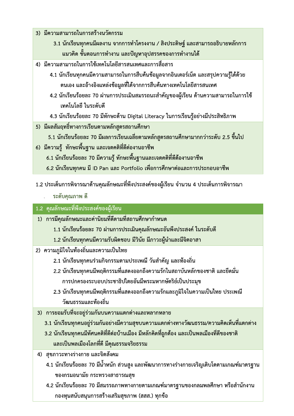- 3) มีความสามารถในการสร้างนวัตกรรม
	- 3.1 นักเรียนทุกคนมีผลงาน จากการทำโครงงาน / สิงประดิษฐ์ และสามารถอธิบายหลักการ ีแนวคิด ขั้นตอนการทำงาน และปัญหาอุปสรรคของการทำงานได้
- ่ 4) มีความสามารถในการใช้เทคโนโลยีสารสนเทศและการสื่อสาร
	- 4.1 นักเรียนทุกคนมีความสามารถในการสืบค้นข้อมูลจากอินเตอร์เน็ต และสรุปความรู้ได้ด้วย ิตนเอง และอ้างอิงแหล่งข้อมูลที่ได้จากการสืบค้นทางเทคโนโลยีสารสนเทศ
	- 4.2 นักเรียนร้อยละ 70 ผ่านการประเมินสมรรถนะสำคัญของผู้เรียน ด้านความสามารถในการใช้ ้เทคโนโลยี ในระดับดี
	- 4.3 นักเรียนร้อยละ 70 มีทักษะด้าน Digital Literacy ในการเรียนรู้อย่างมีประสิทธิภาพ
- ่ 5) มีผลสัมฤทธิ์ทางการเรียนตามหลักสูตรสถานศึกษา
	- 5.1 นักเรียนร้อยละ 70 มีผลการเรียนเฉลี่ยตามหลักสูตรสถานศึกษามากกว่าระดับ 2.5 ขึ้นไป
- ่ 6) มีความรู้ ทักษะพื้นฐาน และเจตคติที่ดีต่องานอาชีพ
	- 6.1 นักเรียนร้อยละ 70 มีความรู้ ทักษะพื้นฐานและเจตคติที่ดีต้องานอาชีพ
	- 6.2 นักเรียนทุกคน มี ID Pan และ Portfolio เพื่อการศึกษาต่อและการประกอบอาชีพ
- 1.2 ประเด็นการพิจารณาด้านคุณลักษณะที่พึงประสงค์ของผู้เรียน จำนวน 4 ประเด็นการพิจารณา
	- ระดับคุณภาพ ดี

#### 1.2 คุณลักษณะที่พึงประสงค์ของผู้เรียน

- 1) การมีคุณลักษณะและค่านิยมที่ดีตามที่สถานศึกษากำหนด
	- 1.1 นักเรียนร้อยละ 70 ผ่านการประเมินคุณลักษณะอันพึงประสงค์ ในระดับดี
	- 1.2 นักเรียนทุกคนมีความรับผิดชอบ มีวินัย มีภาวะผู้นำและมีจิตอาสา
- 2) ความภูมิใจในท้องถิ่นและความเป็นไทย
	- 2.1 นักเรียนทุกคนร่วมกิจกรรมตามประเพณี วันสำคัญ และท้องถิ่น
	- 2.2 นักเรียนทุกคนมีพฤติกรรมที่แสดงออกถึงความรักในสถาบันหลักของชาติ และยึดมั่น การปกครองระบอบประชาธิปไตยอันมีพระมหากษัตริย์เป็นประมุข
	- ่ 2.3 นักเรียนทุกคนมีพฤติกรรมที่แสดงออกถึงความรักและภูมิใจในความเป็นไทย ประเพณี วัฒนธรรมและท้องถิ่น
- ่ 3) การยอมรับที่จะอยู่ร่วมกันบนความแตกต่างและหลากหลาย
	- 3.1 นักเรียนทุกคนอยู่ร่วมกันอย่างมีความสุขบนความแตกต่างทางวัฒนธรรม/ความคิดเห็นที่แตกต่าง
	- ่ 3.2 นักเรียนทุกคนมีทัศนคติที่ดีต่อบ้านเมือง มีหลักคิดที่ถูกต้อง และเป็นพลเมืองที่ดีของชาติ ี และเป็นพลเมืองโลกที่ดี มีคุณธรรมจริยธรรม
- 4) สุขภาวะทางร่างกาย และจิตสังคม
	- 4.1 นักเรียนร้อยละ 70 มีน้ำหนัก ส่วนสูง และพัฒนาการทางร่างกายเจริญเติบโตตามเกณฑ์มาตรฐาน ของกรมอนามัย กระทรวงสาธารณสุข
	- 4.2 นักเรียนร้อยละ 70 มีสมรรถภาพทางกายตามเกณฑ์มาตรฐานของกลมพลศึกษา หรือสำนักงาน ึกองทุนสนับสนุนการสร้างเสริมสุขภาพ (สสส.) ทุกข้อ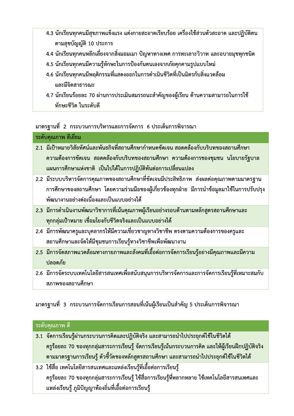- 4.3 นักเรียนทุกคนมีสุขภาพแข็งแรง แต่งกายสะอาดเรียบร้อย เครื่องใช้ส่วนตัวสะอาด และปฏิบัติตน ตามสุขบัญญัติ 10 ประการ
- 4.4 นักเรียนทุกคนหลีกเลี่ยงจากสิ่งมอมเมา ปัญหาทางเพศ การทะเลาะวิวาท และอบายมุขทุกชนิด
- 4.5 นักเรียนทุกคนมีความรู้ทักษะในการป้องกันตนเองจากภัยคุกคามรูปแบบใหม่
- 4.6 นักเรียนทุกคนมีพฤติกรรมที่แสดงออกในการดำเนินชีวิตที่เป็นมิตรกับสิ่งแวดล้อม และมีจิตสาธารณะ
- 4.7 นักเรียนร้อยละ 70 ผ่านการประเมินสมรรถนะสำคัญของผู้เรียน ด้านความสามารถในการใช้ ทักษะชีวิต ในระดับดี

ิมาตรฐานที่ 2 กระบวนการบริหารและการจัดการ 6 ประเด็นการพิจารณา

### ระดับคุณภาพ ดีเยี่ยม

- ่ 2.1 มีเป้าหมายวิสัยทัศน์และพันธกิจที่สถานศึกษากำหนดชัดเจน สอดคล้องกับบริบทของสถานศึกษา ้ความต้องการชัดเจน สอดคล้องกับบริบทของสถานศึกษา ความต้องการชองชุมชน นโยบายรัฐบาล แผนการศึกษาแห่งชาติ เป็นไปได้ในการปฏิบัติทันต่อการเปลี่ยนแปลง
- 2.2 มีระบบบริหารจัดการคุณภาพของสถานศึกษาที่ชัดเจนมีประสิทธิภาพ ส่งผลต่อคุณภาพตามมาตรฐาน การศึกษาของสถานศึกษา โดยความร่วมมือของผู้เกี่ยวข้องทุกฝ่าย มีการนำข้อมูลมาใช้ในการปรับปรุง ิพัฒนางานอย่างต่อเนื่องและเป็นแบบอย่างได้
- 2.3 มีการดำเนินงานพัฒนาวิชาการที่เน้นคุณภาพผู้เรียนอย่างรอบด้านตามหลักสูตรสถานศึกษาและ ทุกกลุ่มเป้าหมาย เชื่อมโยงกับชีวิตจริงและเป็นแบบอย่างได้
- ่ 2.4 มีการพัฒนาครูและบุคลากรให้มีความเชี่ยวชาญทางวิชาชีพ ตรงตามความต้องการของครูและ สถานศึกษาและจัดให้มีชุมชนการเรียนรู้ทางวิชาชีพเพื่อพัฒนางาน
- ่ 2.5 มีการจัดสภาพแวดล้อมทางกายภาพและสังคมที่เอื้อต่อการจัดการเรียนรู้อย่างมีคุณภาพและมีความ ปลอดภัย
- ่ 2.6 มีการจัดระบบเทคโนโลยีสารสนเทศเพื่อสนับสนุนการบริหารจัดการและการจัดการเรียนรู้ที่เหมาะสมกับ สภาพของสถานศึกษา

ิ มาตรฐานที่ 3 กระบวนการจัดการเรียนการสอนที่เน้นผู้เรียนเป็นสำคัญ 5 ประเด็นการพิจารณา

| <u>ีระดั</u> บคุณภาพ ดี                                                                             |
|-----------------------------------------------------------------------------------------------------|
| 3.1 จัดการเรียนรู้ผ่านกระบวนการคิดและปฏิบัติจริง และสามารถนำไปประยุกต์ใช้ในชีวิตได้                 |
| ครูร้อยละ 70 ของทุกกลุ่มสาระการเรียนรู้ จัดการเรียนรู้เน้นกระบวนการคิด และให้ผู้เรียนฝึกปฏิบัติจริง |
| ีตามมาตรฐานการเรียนรู้ ตัวชี้วัดของหลักสูตรสถานศึกษา และสามารถนำไปประยุกต์ใช้ในชีวิตได้             |
| 3.2 ใช้สื่อ เทคโนโลยีสารสนเทศและแหล่งเรียนรู้ที่เอื้อต่อการเรียนรู้                                 |
| ้ครูร้อยละ 70 ของทุกกลุ่มสาระการเรียนรู้ ใช้สื่อการเรียนรู้ที่หลากหลาย ใช้เทคโนโลยีสารสนเทศและ      |
| แหล่งเรียนรู้ ภูมิปัญญาท้องถิ่นที่เอื้อต่อการเรียนรู้                                               |